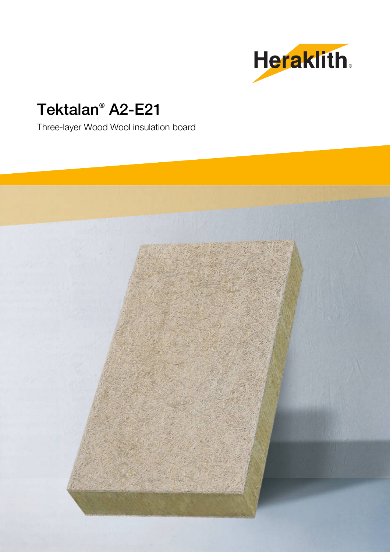

# Tektalan® A2-E21

Three-layer Wood Wool insulation board